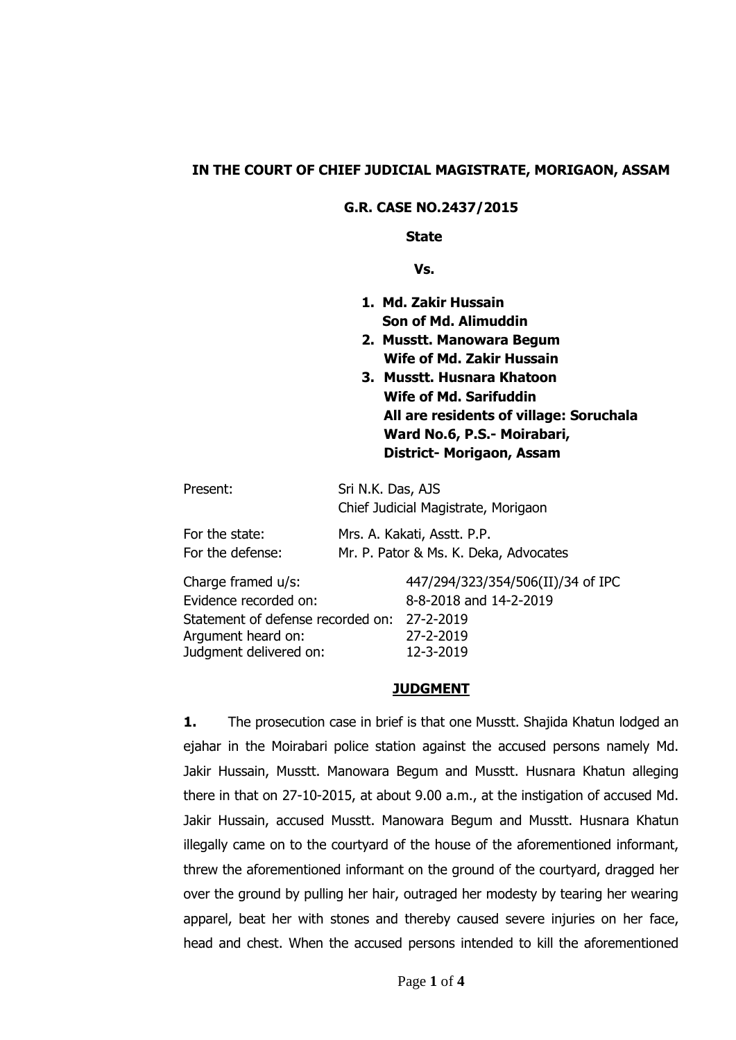### **IN THE COURT OF CHIEF JUDICIAL MAGISTRATE, MORIGAON, ASSAM**

#### **G.R. CASE NO.2437/2015**

#### **State**

 **Vs.**

- **1. Md. Zakir Hussain Son of Md. Alimuddin**
- **2. Musstt. Manowara Begum Wife of Md. Zakir Hussain**
- **3. Musstt. Husnara Khatoon Wife of Md. Sarifuddin All are residents of village: Soruchala Ward No.6, P.S.- Moirabari, District- Morigaon, Assam**

| Present:         | Sri N.K. Das, AJS                     |
|------------------|---------------------------------------|
|                  | Chief Judicial Magistrate, Morigaon   |
| For the state:   | Mrs. A. Kakati, Asstt. P.P.           |
| For the defense: | Mr. P. Pator & Ms. K. Deka, Advocates |

Charge framed u/s: 447/294/323/354/506(II)/34 of IPC Evidence recorded on: 8-8-2018 and 14-2-2019 Statement of defense recorded on: 27-2-2019 Argument heard on: 27-2-2019 Judgment delivered on: 12-3-2019

#### **JUDGMENT**

**1.** The prosecution case in brief is that one Musstt. Shajida Khatun lodged an ejahar in the Moirabari police station against the accused persons namely Md. Jakir Hussain, Musstt. Manowara Begum and Musstt. Husnara Khatun alleging there in that on 27-10-2015, at about 9.00 a.m., at the instigation of accused Md. Jakir Hussain, accused Musstt. Manowara Begum and Musstt. Husnara Khatun illegally came on to the courtyard of the house of the aforementioned informant, threw the aforementioned informant on the ground of the courtyard, dragged her over the ground by pulling her hair, outraged her modesty by tearing her wearing apparel, beat her with stones and thereby caused severe injuries on her face, head and chest. When the accused persons intended to kill the aforementioned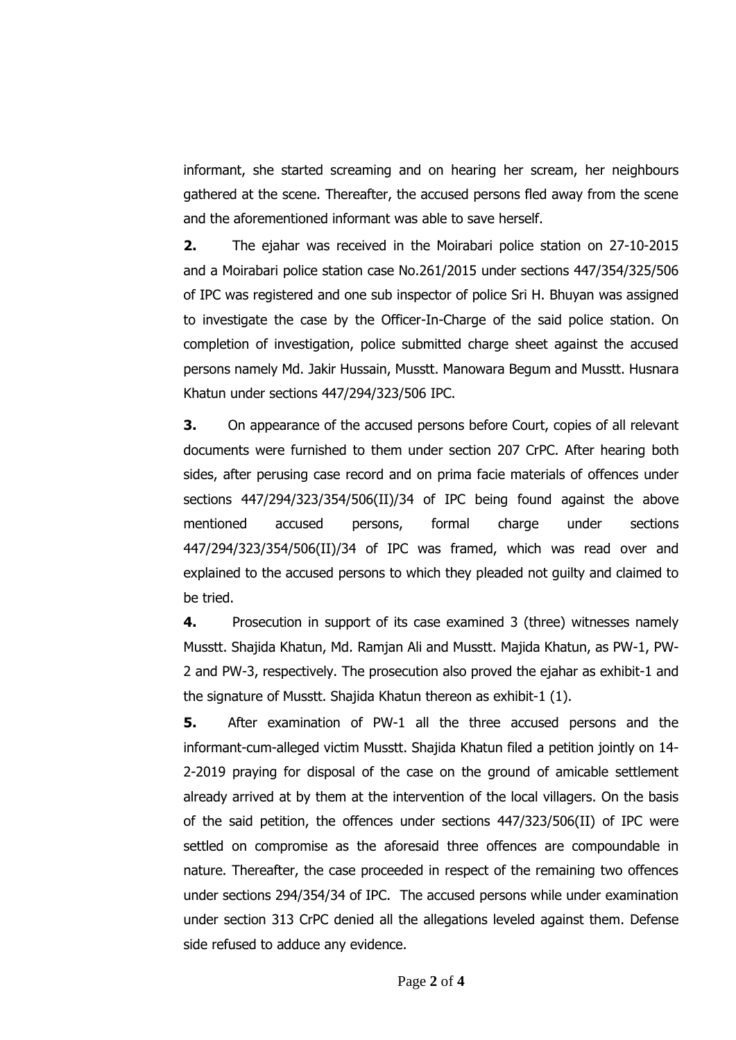informant, she started screaming and on hearing her scream, her neighbours gathered at the scene. Thereafter, the accused persons fled away from the scene and the aforementioned informant was able to save herself.

**2.** The ejahar was received in the Moirabari police station on 27-10-2015 and a Moirabari police station case No.261/2015 under sections 447/354/325/506 of IPC was registered and one sub inspector of police Sri H. Bhuyan was assigned to investigate the case by the Officer-In-Charge of the said police station. On completion of investigation, police submitted charge sheet against the accused persons namely Md. Jakir Hussain, Musstt. Manowara Begum and Musstt. Husnara Khatun under sections 447/294/323/506 IPC.

**3.** On appearance of the accused persons before Court, copies of all relevant documents were furnished to them under section 207 CrPC. After hearing both sides, after perusing case record and on prima facie materials of offences under sections 447/294/323/354/506(II)/34 of IPC being found against the above mentioned accused persons, formal charge under sections 447/294/323/354/506(II)/34 of IPC was framed, which was read over and explained to the accused persons to which they pleaded not guilty and claimed to be tried.

**4.** Prosecution in support of its case examined 3 (three) witnesses namely Musstt. Shajida Khatun, Md. Ramjan Ali and Musstt. Majida Khatun, as PW-1, PW-2 and PW-3, respectively. The prosecution also proved the ejahar as exhibit-1 and the signature of Musstt. Shajida Khatun thereon as exhibit-1 (1).

**5.** After examination of PW-1 all the three accused persons and the informant-cum-alleged victim Musstt. Shajida Khatun filed a petition jointly on 14- 2-2019 praying for disposal of the case on the ground of amicable settlement already arrived at by them at the intervention of the local villagers. On the basis of the said petition, the offences under sections 447/323/506(II) of IPC were settled on compromise as the aforesaid three offences are compoundable in nature. Thereafter, the case proceeded in respect of the remaining two offences under sections 294/354/34 of IPC. The accused persons while under examination under section 313 CrPC denied all the allegations leveled against them. Defense side refused to adduce any evidence.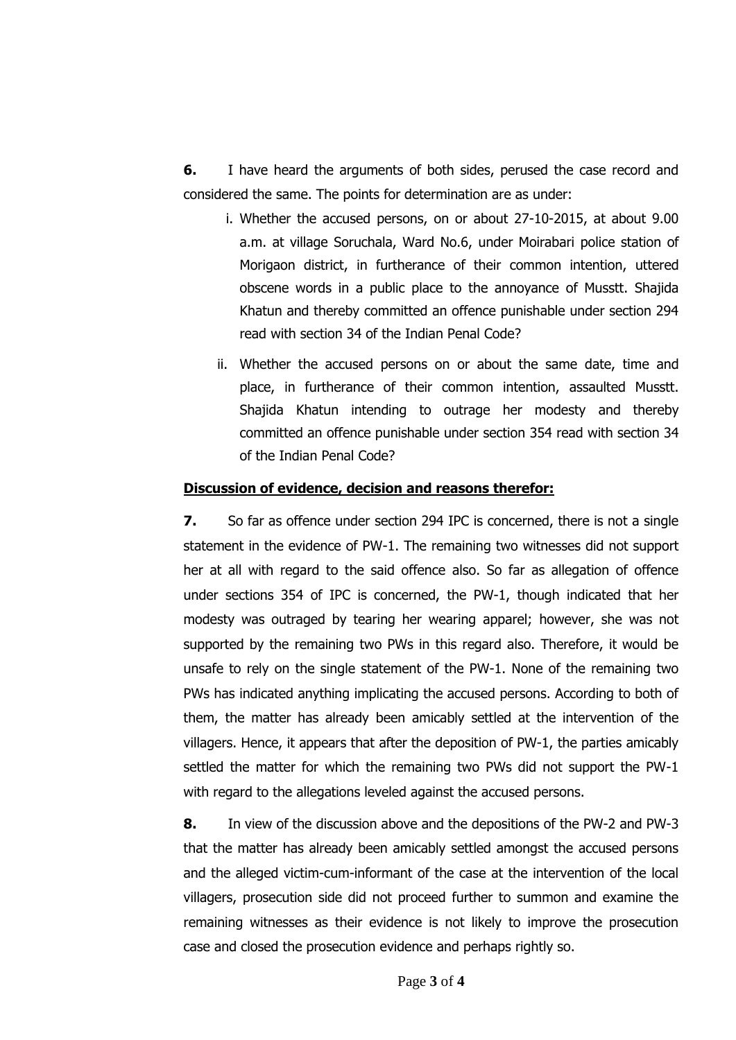**6.** I have heard the arguments of both sides, perused the case record and considered the same. The points for determination are as under:

- i. Whether the accused persons, on or about 27-10-2015, at about 9.00 a.m. at village Soruchala, Ward No.6, under Moirabari police station of Morigaon district, in furtherance of their common intention, uttered obscene words in a public place to the annoyance of Musstt. Shajida Khatun and thereby committed an offence punishable under section 294 read with section 34 of the Indian Penal Code?
- ii. Whether the accused persons on or about the same date, time and place, in furtherance of their common intention, assaulted Musstt. Shajida Khatun intending to outrage her modesty and thereby committed an offence punishable under section 354 read with section 34 of the Indian Penal Code?

### **Discussion of evidence, decision and reasons therefor:**

**7.** So far as offence under section 294 IPC is concerned, there is not a single statement in the evidence of PW-1. The remaining two witnesses did not support her at all with regard to the said offence also. So far as allegation of offence under sections 354 of IPC is concerned, the PW-1, though indicated that her modesty was outraged by tearing her wearing apparel; however, she was not supported by the remaining two PWs in this regard also. Therefore, it would be unsafe to rely on the single statement of the PW-1. None of the remaining two PWs has indicated anything implicating the accused persons. According to both of them, the matter has already been amicably settled at the intervention of the villagers. Hence, it appears that after the deposition of PW-1, the parties amicably settled the matter for which the remaining two PWs did not support the PW-1 with regard to the allegations leveled against the accused persons.

**8.** In view of the discussion above and the depositions of the PW-2 and PW-3 that the matter has already been amicably settled amongst the accused persons and the alleged victim-cum-informant of the case at the intervention of the local villagers, prosecution side did not proceed further to summon and examine the remaining witnesses as their evidence is not likely to improve the prosecution case and closed the prosecution evidence and perhaps rightly so.